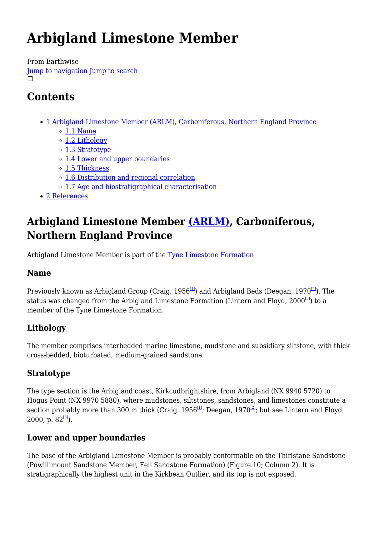# **Arbigland Limestone Member**

From Earthwise [Jump to navigation](#page--1-0) [Jump to search](#page--1-0)  $\Box$ 

## **Contents**

- [1](#Arbigland_Limestone_Member_.28ARLM.29.2C_Carboniferous.2C_Northern_England_Province) [Arbigland Limestone Member \(ARLM\), Carboniferous, Northern England Province](#Arbigland_Limestone_Member_.28ARLM.29.2C_Carboniferous.2C_Northern_England_Province)
	- $\circ$  [1.1](#page--1-0) [Name](#page--1-0)
	- o [1.2](#page--1-0) [Lithology](#page--1-0)
	- [1.3](#page--1-0) [Stratotype](#page--1-0)
	- [1.4](#page--1-0) [Lower and upper boundaries](#page--1-0)
	- o [1.5](#page--1-0) [Thickness](#page--1-0)
	- [1.6](#page--1-0) [Distribution and regional correlation](#page--1-0)
	- [1.7](#page--1-0) [Age and biostratigraphical characterisation](#page--1-0)
- [2](#page--1-0) [References](#page--1-0)

## **Arbigland Limestone Member [\(ARLM\),](http://www.bgs.ac.uk/lexicon/lexicon.cfm?pub=ARLM) Carboniferous, Northern England Province**

Arbigland Limestone Member is part of the [Tyne Limestone Formation](http://earthwise.bgs.ac.uk/index.php/Tyne_Limestone_Formation)

## **Name**

Previously known as Arbigland Group (Craig, 1956<sup>[\[1\]](#page--1-0)</sup>) and Arbigland Beds (Deegan, 1970<sup>[\[2\]](#page--1-0)</sup>). The status was changed from the Arbigland Limestone Formation (Lintern and Floyd,  $2000^{[3]}$  $2000^{[3]}$  $2000^{[3]}$ ) to a member of the Tyne Limestone Formation.

## **Lithology**

The member comprises interbedded marine limestone, mudstone and subsidiary siltstone, with thick cross-bedded, bioturbated, medium-grained sandstone.

## **Stratotype**

The type section is the Arbigland coast, Kirkcudbrightshire, from Arbigland (NX 9940 5720) to Hogus Point (NX 9970 5880), where mudstones, siltstones, sandstones, and limestones constitute a section probably more than 300.m thick (Craig,  $1956^{11}$ ; Deegan,  $1970^{12}$ ; but see Lintern and Floyd, 2000, p.  $82^{3}$ .

## **Lower and upper boundaries**

The base of the Arbigland Limestone Member is probably conformable on the Thirlstane Sandstone (Powillimount Sandstone Member, Fell Sandstone Formation) (Figure.10; Column 2). It is stratigraphically the highest unit in the Kirkbean Outlier, and its top is not exposed.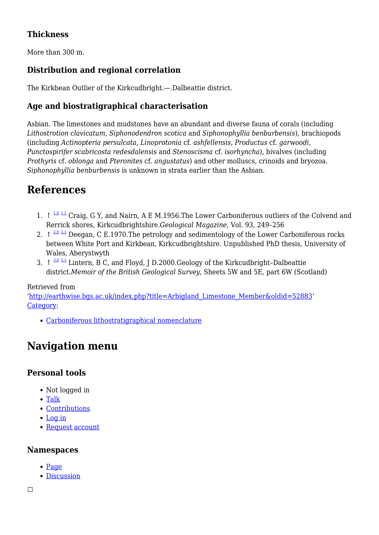### **Thickness**

More than 300 m.

### **Distribution and regional correlation**

The Kirkbean Outlier of the Kirkcudbright.—.Dalbeattie district.

### **Age and biostratigraphical characterisation**

Asbian. The limestones and mudstones have an abundant and diverse fauna of corals (including *Lithostrotion clavicatum, Siphonodendron scotica* and *Siphonophyllia benburbensis*), brachiopods (including *Actinopteria persulcata, Linoprotonia* cf. *ashfellensis*, *Productus* cf. *garwoodi, Punctospirifer scabricosta redesdalensis* and *Stenoscisma* cf. *isorhyncha*), bivalves (including *Prothyris* cf. *oblonga* and *Pteronites* cf. *angustatus*) and other molluscs, crinoids and bryozoa. *Siphonophyllia benburbensis* is unknown in strata earlier than the Asbian.

## **References**

- 1.  $\uparrow$   $\frac{1.0 \text{ } 1.1 \text{ } }$  $\frac{1.0 \text{ } 1.1 \text{ } }$  $\frac{1.0 \text{ } 1.1 \text{ } }$  $\frac{1.0 \text{ } 1.1 \text{ } }$  $\frac{1.0 \text{ } 1.1 \text{ } }$  Craig, G Y, and Nairn, A E M.1956. The Lower Carboniferous outliers of the Colvend and Rerrick shores, Kirkcudbrightshire.*Geological Magazine*, Vol. 93, 249–256
- 2.  $\uparrow$  <sup>[2.0](#page--1-0) [2.1](#page--1-0)</sup> Deegan, C E.1970. The petrology and sedimentology of the Lower Carboniferous rocks between White Port and Kirkbean, Kirkcudbrightshire. Unpublished PhD thesis, University of Wales, Aberystwyth
- 3.  $\uparrow$   $\frac{3.0 \text{ } 3.1 \text{ }}{2}$  $\frac{3.0 \text{ } 3.1 \text{ }}{2}$  $\frac{3.0 \text{ } 3.1 \text{ }}{2}$  $\frac{3.0 \text{ } 3.1 \text{ }}{2}$  $\frac{3.0 \text{ } 3.1 \text{ }}{2}$  Lintern, B C, and Floyd, J D.2000.Geology of the Kirkcudbright–Dalbeattie district.*Memoir of the British Geological Survey*, Sheets 5W and 5E, part 6W (Scotland)

#### Retrieved from

'[http://earthwise.bgs.ac.uk/index.php?title=Arbigland\\_Limestone\\_Member&oldid=52883'](http://earthwise.bgs.ac.uk/index.php?title=Arbigland_Limestone_Member&oldid=52883) [Category](http://earthwise.bgs.ac.uk/index.php/Special:Categories):

[Carboniferous lithostratigraphical nomenclature](http://earthwise.bgs.ac.uk/index.php/Category:Carboniferous_lithostratigraphical_nomenclature)

## **Navigation menu**

#### **Personal tools**

- Not logged in
- [Talk](http://earthwise.bgs.ac.uk/index.php/Special:MyTalk)
- [Contributions](http://earthwise.bgs.ac.uk/index.php/Special:MyContributions)
- [Log in](http://earthwise.bgs.ac.uk/index.php?title=Special:UserLogin&returnto=Arbigland+Limestone+Member&returntoquery=action%3Dmpdf)
- [Request account](http://earthwise.bgs.ac.uk/index.php/Special:RequestAccount)

#### **Namespaces**

- [Page](http://earthwise.bgs.ac.uk/index.php/Arbigland_Limestone_Member)
- [Discussion](http://earthwise.bgs.ac.uk/index.php?title=Talk:Arbigland_Limestone_Member&action=edit&redlink=1)

 $\Box$